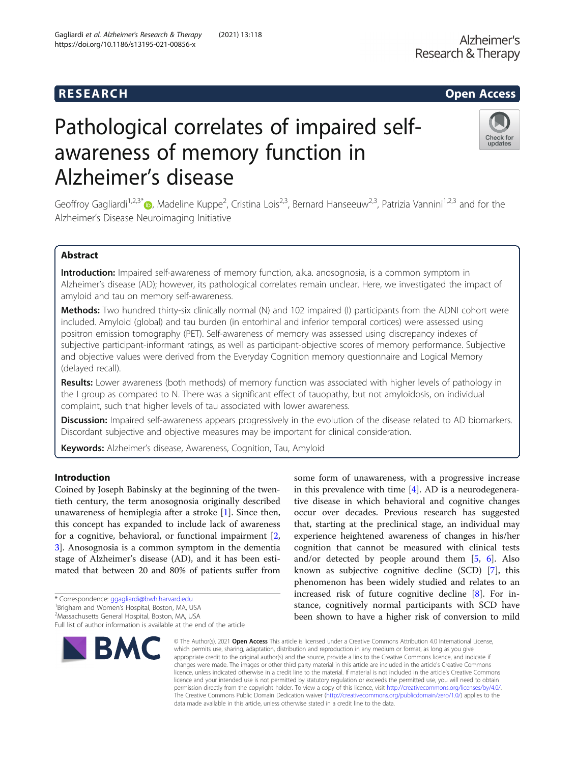Gagliardi et al. Alzheimer's Research & Therapy (2021) 13:118

https://doi.org/10.1186/s13195-021-00856-x

# Pathological correlates of impaired selfawareness of memory function in Alzheimer's disease



Geoffroy Gagliardi<sup>1[,](http://orcid.org/0000-0002-2608-8456)2,3\*</sup> <sub>(b</sub>, Madeline Kuppe<sup>2</sup>, Cristina Lois<sup>2,3</sup>, Bernard Hanseeuw<sup>2,3</sup>, Patrizia Vannini<sup>1,2,3</sup> and for the Alzheimer's Disease Neuroimaging Initiative

# Abstract

Introduction: Impaired self-awareness of memory function, a.k.a. anosognosia, is a common symptom in Alzheimer's disease (AD); however, its pathological correlates remain unclear. Here, we investigated the impact of amyloid and tau on memory self-awareness.

Methods: Two hundred thirty-six clinically normal (N) and 102 impaired (I) participants from the ADNI cohort were included. Amyloid (global) and tau burden (in entorhinal and inferior temporal cortices) were assessed using positron emission tomography (PET). Self-awareness of memory was assessed using discrepancy indexes of subjective participant-informant ratings, as well as participant-objective scores of memory performance. Subjective and objective values were derived from the Everyday Cognition memory questionnaire and Logical Memory (delayed recall).

Results: Lower awareness (both methods) of memory function was associated with higher levels of pathology in the I group as compared to N. There was a significant effect of tauopathy, but not amyloidosis, on individual complaint, such that higher levels of tau associated with lower awareness.

Discussion: Impaired self-awareness appears progressively in the evolution of the disease related to AD biomarkers. Discordant subjective and objective measures may be important for clinical consideration.

Keywords: Alzheimer's disease, Awareness, Cognition, Tau, Amyloid

# Introduction

Coined by Joseph Babinsky at the beginning of the twentieth century, the term anosognosia originally described unawareness of hemiplegia after a stroke [[1](#page-9-0)]. Since then, this concept has expanded to include lack of awareness for a cognitive, behavioral, or functional impairment [\[2](#page-9-0), [3\]](#page-9-0). Anosognosia is a common symptom in the dementia stage of Alzheimer's disease (AD), and it has been estimated that between 20 and 80% of patients suffer from

Full list of author information is available at the end of the article



some form of unawareness, with a progressive increase in this prevalence with time [\[4](#page-9-0)]. AD is a neurodegenerative disease in which behavioral and cognitive changes occur over decades. Previous research has suggested that, starting at the preclinical stage, an individual may experience heightened awareness of changes in his/her cognition that cannot be measured with clinical tests and/or detected by people around them  $[5, 6]$  $[5, 6]$  $[5, 6]$  $[5, 6]$ . Also known as subjective cognitive decline (SCD) [[7\]](#page-9-0), this phenomenon has been widely studied and relates to an increased risk of future cognitive decline [\[8\]](#page-9-0). For instance, cognitively normal participants with SCD have been shown to have a higher risk of conversion to mild

© The Author(s), 2021 **Open Access** This article is licensed under a Creative Commons Attribution 4.0 International License, which permits use, sharing, adaptation, distribution and reproduction in any medium or format, as long as you give appropriate credit to the original author(s) and the source, provide a link to the Creative Commons licence, and indicate if changes were made. The images or other third party material in this article are included in the article's Creative Commons licence, unless indicated otherwise in a credit line to the material. If material is not included in the article's Creative Commons licence and your intended use is not permitted by statutory regulation or exceeds the permitted use, you will need to obtain permission directly from the copyright holder. To view a copy of this licence, visit [http://creativecommons.org/licenses/by/4.0/.](http://creativecommons.org/licenses/by/4.0/) The Creative Commons Public Domain Dedication waiver [\(http://creativecommons.org/publicdomain/zero/1.0/](http://creativecommons.org/publicdomain/zero/1.0/)) applies to the data made available in this article, unless otherwise stated in a credit line to the data.

<sup>\*</sup> Correspondence: [ggagliardi@bwh.harvard.edu](mailto:ggagliardi@bwh.harvard.edu) <sup>1</sup>

<sup>&</sup>lt;sup>1</sup>Brigham and Women's Hospital, Boston, MA, USA

<sup>&</sup>lt;sup>2</sup>Massachusetts General Hospital, Boston, MA, USA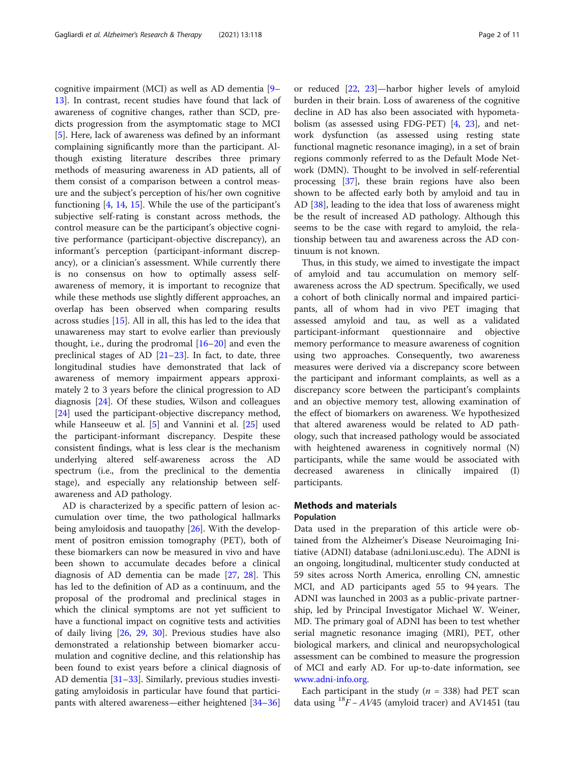cognitive impairment (MCI) as well as AD dementia [[9](#page-9-0)– [13\]](#page-9-0). In contrast, recent studies have found that lack of awareness of cognitive changes, rather than SCD, predicts progression from the asymptomatic stage to MCI [[5\]](#page-9-0). Here, lack of awareness was defined by an informant complaining significantly more than the participant. Although existing literature describes three primary methods of measuring awareness in AD patients, all of them consist of a comparison between a control measure and the subject's perception of his/her own cognitive functioning [[4,](#page-9-0) [14,](#page-9-0) [15\]](#page-9-0). While the use of the participant's subjective self-rating is constant across methods, the control measure can be the participant's objective cognitive performance (participant-objective discrepancy), an informant's perception (participant-informant discrepancy), or a clinician's assessment. While currently there is no consensus on how to optimally assess selfawareness of memory, it is important to recognize that while these methods use slightly different approaches, an overlap has been observed when comparing results across studies [\[15](#page-9-0)]. All in all, this has led to the idea that unawareness may start to evolve earlier than previously thought, i.e., during the prodromal [[16](#page-9-0)–[20](#page-9-0)] and even the preclinical stages of AD  $[21-23]$  $[21-23]$  $[21-23]$  $[21-23]$  $[21-23]$ . In fact, to date, three longitudinal studies have demonstrated that lack of awareness of memory impairment appears approximately 2 to 3 years before the clinical progression to AD diagnosis [[24\]](#page-9-0). Of these studies, Wilson and colleagues [[24\]](#page-9-0) used the participant-objective discrepancy method, while Hanseeuw et al. [[5](#page-9-0)] and Vannini et al. [[25](#page-9-0)] used the participant-informant discrepancy. Despite these consistent findings, what is less clear is the mechanism underlying altered self-awareness across the AD spectrum (i.e., from the preclinical to the dementia stage), and especially any relationship between selfawareness and AD pathology.

AD is characterized by a specific pattern of lesion accumulation over time, the two pathological hallmarks being amyloidosis and tauopathy [\[26](#page-9-0)]. With the development of positron emission tomography (PET), both of these biomarkers can now be measured in vivo and have been shown to accumulate decades before a clinical diagnosis of AD dementia can be made [[27,](#page-9-0) [28](#page-9-0)]. This has led to the definition of AD as a continuum, and the proposal of the prodromal and preclinical stages in which the clinical symptoms are not yet sufficient to have a functional impact on cognitive tests and activities of daily living [\[26,](#page-9-0) [29,](#page-9-0) [30\]](#page-9-0). Previous studies have also demonstrated a relationship between biomarker accumulation and cognitive decline, and this relationship has been found to exist years before a clinical diagnosis of AD dementia [\[31](#page-9-0)–[33\]](#page-9-0). Similarly, previous studies investigating amyloidosis in particular have found that participants with altered awareness—either heightened [[34](#page-10-0)–[36](#page-10-0)] or reduced [[22](#page-9-0), [23](#page-9-0)]—harbor higher levels of amyloid burden in their brain. Loss of awareness of the cognitive decline in AD has also been associated with hypometabolism (as assessed using FDG-PET) [\[4](#page-9-0), [23\]](#page-9-0), and network dysfunction (as assessed using resting state functional magnetic resonance imaging), in a set of brain regions commonly referred to as the Default Mode Network (DMN). Thought to be involved in self-referential processing [[37](#page-10-0)], these brain regions have also been shown to be affected early both by amyloid and tau in AD [[38\]](#page-10-0), leading to the idea that loss of awareness might be the result of increased AD pathology. Although this seems to be the case with regard to amyloid, the relationship between tau and awareness across the AD continuum is not known.

Thus, in this study, we aimed to investigate the impact of amyloid and tau accumulation on memory selfawareness across the AD spectrum. Specifically, we used a cohort of both clinically normal and impaired participants, all of whom had in vivo PET imaging that assessed amyloid and tau, as well as a validated participant-informant questionnaire and objective memory performance to measure awareness of cognition using two approaches. Consequently, two awareness measures were derived via a discrepancy score between the participant and informant complaints, as well as a discrepancy score between the participant's complaints and an objective memory test, allowing examination of the effect of biomarkers on awareness. We hypothesized that altered awareness would be related to AD pathology, such that increased pathology would be associated with heightened awareness in cognitively normal (N) participants, while the same would be associated with decreased awareness in clinically impaired (I) participants.

# Methods and materials

# Population

Data used in the preparation of this article were obtained from the Alzheimer's Disease Neuroimaging Initiative (ADNI) database (adni.loni.usc.edu). The ADNI is an ongoing, longitudinal, multicenter study conducted at 59 sites across North America, enrolling CN, amnestic MCI, and AD participants aged 55 to 94 years. The ADNI was launched in 2003 as a public-private partnership, led by Principal Investigator Michael W. Weiner, MD. The primary goal of ADNI has been to test whether serial magnetic resonance imaging (MRI), PET, other biological markers, and clinical and neuropsychological assessment can be combined to measure the progression of MCI and early AD. For up-to-date information, see [www.adni-info.org](http://www.adni-info.org).

Each participant in the study ( $n = 338$ ) had PET scan data using  ${}^{18}F - AV45$  (amyloid tracer) and AV1451 (tau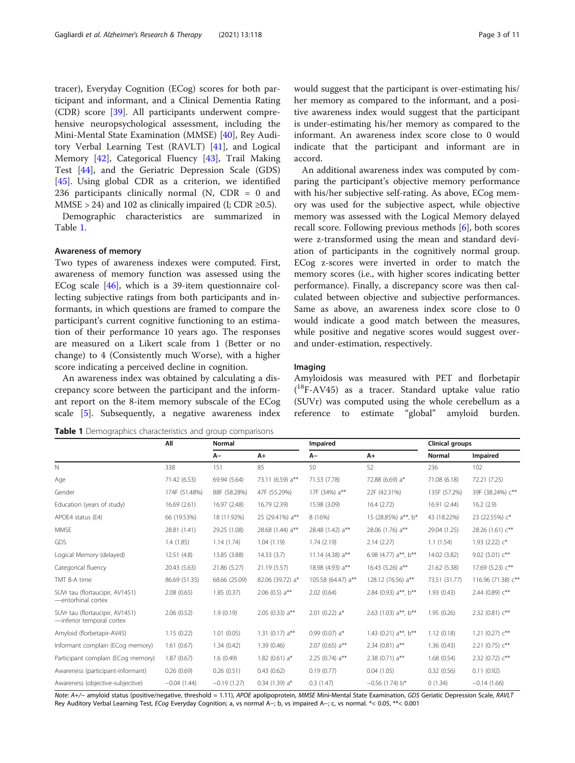<span id="page-2-0"></span>tracer), Everyday Cognition (ECog) scores for both participant and informant, and a Clinical Dementia Rating (CDR) score [\[39](#page-10-0)]. All participants underwent comprehensive neuropsychological assessment, including the Mini-Mental State Examination (MMSE) [[40\]](#page-10-0), Rey Auditory Verbal Learning Test (RAVLT) [[41\]](#page-10-0), and Logical Memory [\[42](#page-10-0)], Categorical Fluency [\[43](#page-10-0)], Trail Making Test [[44\]](#page-10-0), and the Geriatric Depression Scale (GDS) [[45\]](#page-10-0). Using global CDR as a criterion, we identified 236 participants clinically normal  $(N, CDR = 0$  and MMSE > 24) and 102 as clinically impaired (I; CDR  $\geq$ 0.5).

Demographic characteristics are summarized in Table 1.

# Awareness of memory

Two types of awareness indexes were computed. First, awareness of memory function was assessed using the ECog scale [\[46](#page-10-0)], which is a 39-item questionnaire collecting subjective ratings from both participants and informants, in which questions are framed to compare the participant's current cognitive functioning to an estimation of their performance 10 years ago. The responses are measured on a Likert scale from 1 (Better or no change) to 4 (Consistently much Worse), with a higher score indicating a perceived decline in cognition.

An awareness index was obtained by calculating a discrepancy score between the participant and the informant report on the 8-item memory subscale of the ECog scale [[5\]](#page-9-0). Subsequently, a negative awareness index

would suggest that the participant is over-estimating his/ her memory as compared to the informant, and a positive awareness index would suggest that the participant is under-estimating his/her memory as compared to the informant. An awareness index score close to 0 would indicate that the participant and informant are in accord.

An additional awareness index was computed by comparing the participant's objective memory performance with his/her subjective self-rating. As above, ECog memory was used for the subjective aspect, while objective memory was assessed with the Logical Memory delayed recall score. Following previous methods [\[6](#page-9-0)], both scores were z-transformed using the mean and standard deviation of participants in the cognitively normal group. ECog z-scores were inverted in order to match the memory scores (i.e., with higher scores indicating better performance). Finally, a discrepancy score was then calculated between objective and subjective performances. Same as above, an awareness index score close to 0 would indicate a good match between the measures, while positive and negative scores would suggest overand under-estimation, respectively.

# Imaging

Amyloidosis was measured with PET and florbetapir ( 18F-AV45) as a tracer. Standard uptake value ratio (SUVr) was computed using the whole cerebellum as a reference to estimate "global" amyloid burden.

Table 1 Demographics characteristics and group comparisons

|                                                              | All           | Normal        |                              | Impaired              |                                 | <b>Clinical groups</b> |                      |  |  |
|--------------------------------------------------------------|---------------|---------------|------------------------------|-----------------------|---------------------------------|------------------------|----------------------|--|--|
|                                                              |               | $A-$          | $A+$                         | $A-$                  | $A+$                            | <b>Normal</b>          | Impaired             |  |  |
| N                                                            | 338           | 151           | 85                           | 50                    | 52                              | 236                    | 102                  |  |  |
| Age                                                          | 71.42 (6.53)  | 69.94 (5.64)  | 73.11 (6.59) a**             | 71.53 (7.78)          | 72.88 (6.69) a*                 | 71.08 (6.18)           | 72.21 (7.25)         |  |  |
| Gender                                                       | 174F (51.48%) | 88F (58.28%)  | 47F (55.29%)                 | 17F (34%) a**         | 22F (42.31%)                    | 135F (57.2%)           | 39F (38.24%) c**     |  |  |
| Education (years of study)                                   | 16.69 (2.61)  | 16.97 (2.48)  | 16.79 (2.39)                 | 15.98 (3.09)          | 16.4(2.72)                      | 16.91 (2.44)           | 16.2(2.9)            |  |  |
| APOE4 status (E4)                                            | 66 (19.53%)   | 18 (11.92%)   | 25 (29.41%) a**              | 8 (16%)               | 15 (28.85%) a**, b*             | 43 (18.22%)            | 23 (22.55%) c*       |  |  |
| <b>MMSE</b>                                                  | 28.81 (1.41)  | 29.25 (1.08)  | 28.68 (1.44) a**             | 28.48 (1.42) a**      | 28.06 (1.76) a**                | 29.04 (1.25)           | 28.26 (1.61) c**     |  |  |
| GDS                                                          | 1.4(1.85)     | 1.14(1.74)    | 1.04(1.19)                   | 1.74(2.19)            | 2.14(2.27)                      | 1.1(1.54)              | 1.93 (2.22) $c^*$    |  |  |
| Logical Memory (delayed)                                     | 12.51 (4.8)   | 13.85 (3.88)  | 14.33 (3.7)                  | 11.14 (4.38) $a^{**}$ | 6.98 (4.77) a**, b**            | 14.02 (3.82)           | 9.02 (5.01) $c^{**}$ |  |  |
| Categorical fluency                                          | 20.43 (5.63)  | 21.86 (5.27)  | 21.19 (5.57)                 | 18.98 (4.93) a**      | 16.43 (5.26) $a^{**}$           | 21.62 (5.38)           | 17.69 (5.23) c**     |  |  |
| TMT B-A time                                                 | 86.69 (51.35) | 68.66 (25.09) | 82.06 (39.72) a*             | 105.58 (64.47) a**    | 128.12 (76.56) a**              | 73.51 (31.77)          | 116.96 (71.38) c**   |  |  |
| SUVr tau (flortaucipir, AV1451)<br>-entorhinal cortex        | 2.08(0.65)    | 1.85(0.37)    | 2.06 (0.5) $a^{**}$          | 2.02(0.64)            | 2.84 (0.93) a**, b**            | 1.93(0.43)             | 2.44 (0.89) c**      |  |  |
| SUVr tau (flortaucipir, AV1451)<br>-inferior temporal cortex | 2.06(0.52)    | 1.9(0.19)     | 2.05 (0.33) $a**$            | 2.01 (0.22) $a*$      | 2.63 (1.03) $a^{**}$ , $b^{**}$ | 1.95(0.26)             | 2.32 (0.81) $c^{**}$ |  |  |
| Amyloid (florbetapir-AV45)                                   | 1.15(0.22)    | 1.01(0.05)    | 1.31 (0.17) $a^{**}$         | $0.99(0.07) a*$       | 1.43 (0.21) $a^{**}$ , $b^{**}$ | 1.12(0.18)             | 1.21 (0.27) $c^{**}$ |  |  |
| Informant complain (ECog memory)                             | 1.61(0.67)    | 1.34(0.42)    | 1.39(0.46)                   | 2.07 (0.65) $a^{**}$  | 2.34 (0.81) $a^{**}$            | 1.36(0.43)             | 2.21 (0.75) $c^{**}$ |  |  |
| Participant complain (ECog memory)                           | 1.87(0.67)    | 1.6(0.49)     | 1.82 (0.61) $a^*$            | 2.25 (0.74) $a^{**}$  | 2.38 (0.71) $a**$               | 1.68(0.54)             | 2.32 (0.72) $c**$    |  |  |
| Awareness (participant-informant)                            | 0.26(0.69)    | 0.26(0.51)    | 0.43(0.62)                   | 0.19(0.77)            | 0.04(1.05)                      | 0.32(0.56)             | 0.11(0.92)           |  |  |
| Awareness (objective-subjective)                             | $-0.04(1.44)$ | $-0.19(1.27)$ | $0.34$ (1.39) a <sup>*</sup> | 0.3(1.47)             | $-0.56$ (1.74) b <sup>*</sup>   | 0(1.34)                | $-0.14(1.66)$        |  |  |

Note: A+/- amyloid status (positive/negative, threshold = 1.11), APOE apolipoprotein, MMSE Mini-Mental State Examination, GDS Geriatic Depression Scale, RAVLT Rey Auditory Verbal Learning Test, ECog Everyday Cognition; a, vs normal A−; b, vs impaired A−; c, vs normal. \*< 0.05, \*\*< 0.001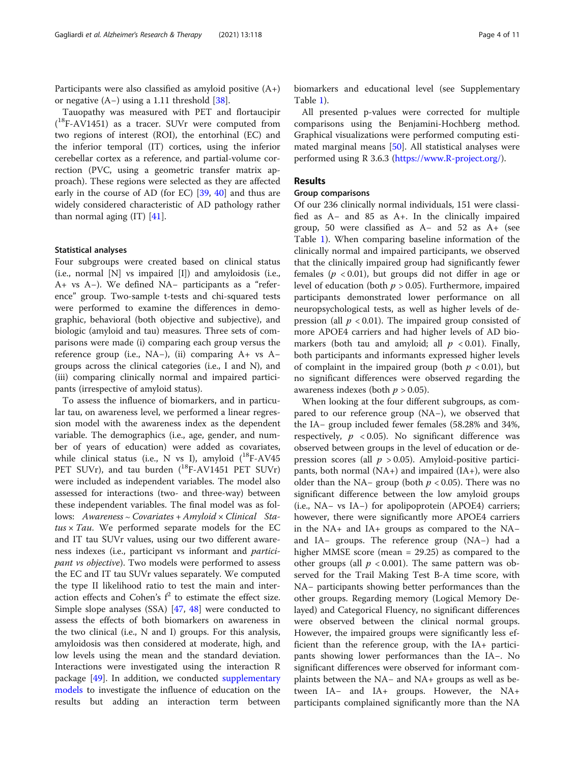Participants were also classified as amyloid positive (A+) or negative (A−) using a 1.11 threshold [\[38](#page-10-0)].

Tauopathy was measured with PET and flortaucipir ( 18F-AV1451) as a tracer. SUVr were computed from two regions of interest (ROI), the entorhinal (EC) and the inferior temporal (IT) cortices, using the inferior cerebellar cortex as a reference, and partial-volume correction (PVC, using a geometric transfer matrix approach). These regions were selected as they are affected early in the course of AD (for EC) [[39,](#page-10-0) [40\]](#page-10-0) and thus are widely considered characteristic of AD pathology rather than normal aging  $(IT)$   $[41]$  $[41]$ .

# Statistical analyses

Four subgroups were created based on clinical status (i.e., normal [N] vs impaired [I]) and amyloidosis (i.e., A+ vs A−). We defined NA− participants as a "reference" group. Two-sample t-tests and chi-squared tests were performed to examine the differences in demographic, behavioral (both objective and subjective), and biologic (amyloid and tau) measures. Three sets of comparisons were made (i) comparing each group versus the reference group (i.e., NA−), (ii) comparing A+ vs A− groups across the clinical categories (i.e., I and N), and (iii) comparing clinically normal and impaired participants (irrespective of amyloid status).

To assess the influence of biomarkers, and in particular tau, on awareness level, we performed a linear regression model with the awareness index as the dependent variable. The demographics (i.e., age, gender, and number of years of education) were added as covariates, while clinical status (i.e., N vs I), amyloid  $(^{18}F-AV45)$ PET SUVr), and tau burden  $(^{18}F-AV1451$  PET SUVr) were included as independent variables. The model also assessed for interactions (two- and three-way) between these independent variables. The final model was as follows: Awareness ∼ Covariates + Amyloid × Clinical Sta $tus \times Tau$ . We performed separate models for the EC and IT tau SUVr values, using our two different awareness indexes (i.e., participant vs informant and participant vs objective). Two models were performed to assess the EC and IT tau SUVr values separately. We computed the type II likelihood ratio to test the main and interaction effects and Cohen's  $f^2$  to estimate the effect size. Simple slope analyses (SSA) [\[47](#page-10-0), [48\]](#page-10-0) were conducted to assess the effects of both biomarkers on awareness in the two clinical (i.e., N and I) groups. For this analysis, amyloidosis was then considered at moderate, high, and low levels using the mean and the standard deviation. Interactions were investigated using the interaction R package [\[49](#page-10-0)]. In addition, we conducted [supplementary](#page-8-0) [models](#page-8-0) to investigate the influence of education on the results but adding an interaction term between biomarkers and educational level (see Supplementary Table [1\)](#page-8-0).

All presented p-values were corrected for multiple comparisons using the Benjamini-Hochberg method. Graphical visualizations were performed computing estimated marginal means [\[50](#page-10-0)]. All statistical analyses were performed using R 3.6.3 [\(https://www.R-project.org/](https://www.r-project.org/)).

# Results

# Group comparisons

Of our 236 clinically normal individuals, 151 were classified as A− and 85 as A+. In the clinically impaired group, 50 were classified as A− and 52 as A+ (see Table [1\)](#page-2-0). When comparing baseline information of the clinically normal and impaired participants, we observed that the clinically impaired group had significantly fewer females ( $p < 0.01$ ), but groups did not differ in age or level of education (both  $p > 0.05$ ). Furthermore, impaired participants demonstrated lower performance on all neuropsychological tests, as well as higher levels of depression (all  $p < 0.01$ ). The impaired group consisted of more APOE4 carriers and had higher levels of AD biomarkers (both tau and amyloid; all  $p < 0.01$ ). Finally, both participants and informants expressed higher levels of complaint in the impaired group (both  $p < 0.01$ ), but no significant differences were observed regarding the awareness indexes (both  $p > 0.05$ ).

When looking at the four different subgroups, as compared to our reference group (NA−), we observed that the IA− group included fewer females (58.28% and 34%, respectively,  $p \leq 0.05$ ). No significant difference was observed between groups in the level of education or depression scores (all  $p > 0.05$ ). Amyloid-positive participants, both normal  $(NA+)$  and impaired  $(IA+)$ , were also older than the NA− group (both  $p < 0.05$ ). There was no significant difference between the low amyloid groups (i.e., NA− vs IA−) for apolipoprotein (APOE4) carriers; however, there were significantly more APOE4 carriers in the NA+ and IA+ groups as compared to the NA− and IA− groups. The reference group (NA−) had a higher MMSE score (mean = 29.25) as compared to the other groups (all  $p < 0.001$ ). The same pattern was observed for the Trail Making Test B-A time score, with NA− participants showing better performances than the other groups. Regarding memory (Logical Memory Delayed) and Categorical Fluency, no significant differences were observed between the clinical normal groups. However, the impaired groups were significantly less efficient than the reference group, with the IA+ participants showing lower performances than the IA−. No significant differences were observed for informant complaints between the NA− and NA+ groups as well as between IA− and IA+ groups. However, the NA+ participants complained significantly more than the NA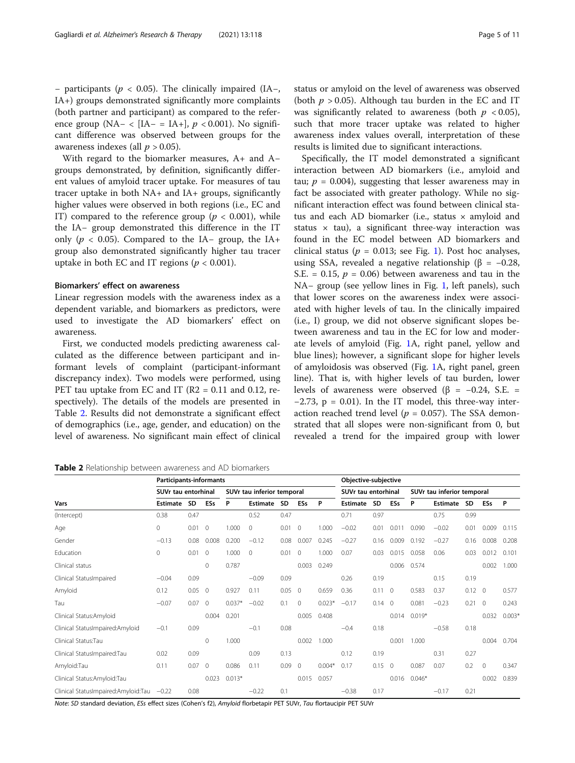− participants (p < 0.05). The clinically impaired (IA−, IA+) groups demonstrated significantly more complaints (both partner and participant) as compared to the reference group (NA− < [IA− = IA+],  $p$  < 0.001). No significant difference was observed between groups for the awareness indexes (all  $p > 0.05$ ).

With regard to the biomarker measures, A+ and A− groups demonstrated, by definition, significantly different values of amyloid tracer uptake. For measures of tau tracer uptake in both NA+ and IA+ groups, significantly higher values were observed in both regions (i.e., EC and IT) compared to the reference group ( $p < 0.001$ ), while the IA− group demonstrated this difference in the IT only ( $p < 0.05$ ). Compared to the IA– group, the IA+ group also demonstrated significantly higher tau tracer uptake in both EC and IT regions ( $p < 0.001$ ).

# Biomarkers' effect on awareness

Linear regression models with the awareness index as a dependent variable, and biomarkers as predictors, were used to investigate the AD biomarkers' effect on awareness.

First, we conducted models predicting awareness calculated as the difference between participant and informant levels of complaint (participant-informant discrepancy index). Two models were performed, using PET tau uptake from EC and IT ( $R2 = 0.11$  and 0.12, respectively). The details of the models are presented in Table 2. Results did not demonstrate a significant effect of demographics (i.e., age, gender, and education) on the level of awareness. No significant main effect of clinical

Table 2 Relationship between awareness and AD biomarkers

Note: SD standard deviation, ESs effect sizes (Cohen's f2), Amyloid florbetapir PET SUVr, Tau flortaucipir PET SUVr

status or amyloid on the level of awareness was observed (both  $p > 0.05$ ). Although tau burden in the EC and IT was significantly related to awareness (both  $p < 0.05$ ), such that more tracer uptake was related to higher awareness index values overall, interpretation of these results is limited due to significant interactions.

Specifically, the IT model demonstrated a significant interaction between AD biomarkers (i.e., amyloid and tau;  $p = 0.004$ ), suggesting that lesser awareness may in fact be associated with greater pathology. While no significant interaction effect was found between clinical status and each AD biomarker (i.e., status  $\times$  amyloid and status  $\times$  tau), a significant three-way interaction was found in the EC model between AD biomarkers and clinical status ( $p = 0.013$  $p = 0.013$  $p = 0.013$ ; see Fig. 1). Post hoc analyses, using SSA, revealed a negative relationship ( $β = -0.28$ , S.E. = 0.15,  $p = 0.06$ ) between awareness and tau in the NA− group (see yellow lines in Fig. [1](#page-5-0), left panels), such that lower scores on the awareness index were associated with higher levels of tau. In the clinically impaired (i.e., I) group, we did not observe significant slopes between awareness and tau in the EC for low and moderate levels of amyloid (Fig. [1A](#page-5-0), right panel, yellow and blue lines); however, a significant slope for higher levels of amyloidosis was observed (Fig. [1](#page-5-0)A, right panel, green line). That is, with higher levels of tau burden, lower levels of awareness were observed ( $\beta$  = −0.24, S.E. =  $-2.73$ , p = 0.01). In the IT model, this three-way interaction reached trend level ( $p = 0.057$ ). The SSA demonstrated that all slopes were non-significant from 0, but revealed a trend for the impaired group with lower

|                                     | <b>Participants-informants</b> |      |                            |          |                 |           |                     |          | Objective-subjective |                            |                |          |          |                |                |          |
|-------------------------------------|--------------------------------|------|----------------------------|----------|-----------------|-----------|---------------------|----------|----------------------|----------------------------|----------------|----------|----------|----------------|----------------|----------|
| Vars                                | SUVr tau entorhinal            |      | SUVr tau inferior temporal |          |                 |           | SUVr tau entorhinal |          |                      | SUVr tau inferior temporal |                |          |          |                |                |          |
|                                     | <b>Estimate</b>                | SD   | ESs                        | P        | <b>Estimate</b> | <b>SD</b> | <b>ESs</b>          | P        | <b>Estimate</b>      | <b>SD</b>                  | <b>ESs</b>     | P        | Estimate | SD             | ESs            | P        |
| (Intercept)                         | 0.38                           | 0.47 |                            |          | 0.52            | 0.47      |                     |          | 0.71                 | 0.97                       |                |          | 0.75     | 0.99           |                |          |
| Age                                 | 0                              | 0.01 | $\Omega$                   | 1.000    | $\Omega$        | 0.01      | $\Omega$            | 1.000    | $-0.02$              | 0.01                       | 0.011          | 0.090    | $-0.02$  | 0.01           | 0.009          | 0.115    |
| Gender                              | $-0.13$                        | 0.08 | 0.008                      | 0.200    | $-0.12$         | 0.08      | 0.007               | 0.245    | $-0.27$              | 0.16                       | 0.009          | 0.192    | $-0.27$  | 0.16           | 0.008          | 0.208    |
| Education                           | 0                              | 0.01 | $\mathbf{0}$               | 1.000    | $\mathbf{0}$    | 0.01      | $\circ$             | 1.000    | 0.07                 | 0.03                       | 0.015          | 0.058    | 0.06     | 0.03           | 0.012          | 0.101    |
| Clinical status                     |                                |      | $\mathbf 0$                | 0.787    |                 |           | 0.003               | 0.249    |                      |                            | 0.006          | 0.574    |          |                | 0.002          | 1.000    |
| Clinical StatusImpaired             | $-0.04$                        | 0.09 |                            |          | $-0.09$         | 0.09      |                     |          | 0.26                 | 0.19                       |                |          | 0.15     | 0.19           |                |          |
| Amyloid                             | 0.12                           | 0.05 | $\mathbf{0}$               | 0.927    | 0.11            | 0.05      | $\mathbf{0}$        | 0.659    | 0.36                 | 0.11                       | $\overline{0}$ | 0.583    | 0.37     | $0.12 \quad 0$ |                | 0.577    |
| Tau                                 | $-0.07$                        | 0.07 | $\overline{0}$             | $0.037*$ | $-0.02$         | 0.1       | $\circ$             | $0.023*$ | $-0.17$              | 0.14                       | $\mathbf{0}$   | 0.081    | $-0.23$  | 0.21           | $\overline{0}$ | 0.243    |
| Clinical Status:Amyloid             |                                |      | 0.004                      | 0.201    |                 |           | 0.005               | 0.408    |                      |                            | 0.014          | $0.019*$ |          |                | 0.032          | $0.003*$ |
| Clinical StatusImpaired:Amyloid     | $-0.1$                         | 0.09 |                            |          | $-0.1$          | 0.08      |                     |          | $-0.4$               | 0.18                       |                |          | $-0.58$  | 0.18           |                |          |
| Clinical Status:Tau                 |                                |      | 0                          | 1.000    |                 |           | 0.002               | 1.000    |                      |                            | 0.001          | 1.000    |          |                | 0.004          | 0.704    |
| Clinical StatusImpaired:Tau         | 0.02                           | 0.09 |                            |          | 0.09            | 0.13      |                     |          | 0.12                 | 0.19                       |                |          | 0.31     | 0.27           |                |          |
| Amyloid:Tau                         | 0.11                           | 0.07 | $\mathbf{0}$               | 0.086    | 0.11            | 0.09      | $\mathbf{0}$        | $0.004*$ | 0.17                 | 0.15                       | $\mathbf{0}$   | 0.087    | 0.07     | 0.2            | $\circ$        | 0.347    |
| Clinical Status:Amyloid:Tau         |                                |      | 0.023                      | $0.013*$ |                 |           | 0.015               | 0.057    |                      |                            | 0.016          | $0.046*$ |          |                | 0.002          | 0.839    |
| Clinical StatusImpaired:Amyloid:Tau | $-0.22$                        | 0.08 |                            |          | $-0.22$         | 0.1       |                     |          | $-0.38$              | 0.17                       |                |          | $-0.17$  | 0.21           |                |          |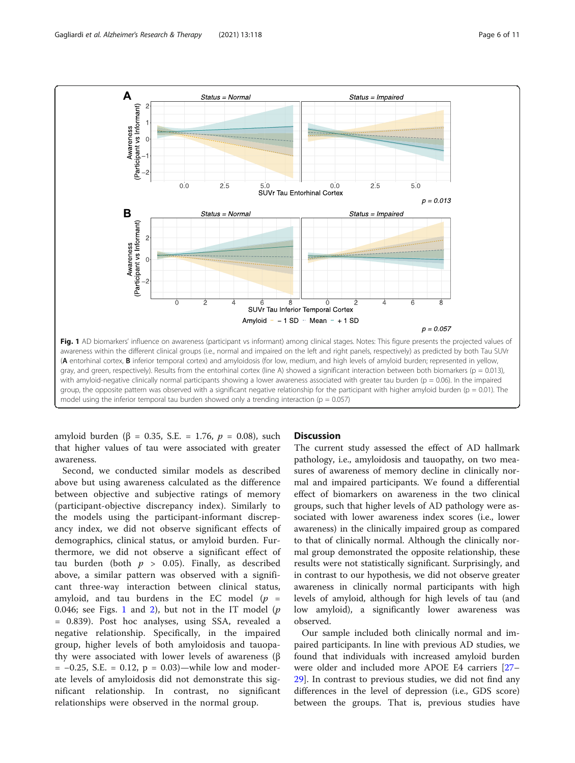<span id="page-5-0"></span>

amyloid burden (β = 0.35, S.E. = 1.76,  $p = 0.08$ ), such that higher values of tau were associated with greater awareness.

Second, we conducted similar models as described above but using awareness calculated as the difference between objective and subjective ratings of memory (participant-objective discrepancy index). Similarly to the models using the participant-informant discrepancy index, we did not observe significant effects of demographics, clinical status, or amyloid burden. Furthermore, we did not observe a significant effect of tau burden (both  $p > 0.05$ ). Finally, as described above, a similar pattern was observed with a significant three-way interaction between clinical status, amyloid, and tau burdens in the EC model  $(p =$ 0.046; see Figs. 1 and [2](#page-6-0)), but not in the IT model  $(p)$ = 0.839). Post hoc analyses, using SSA, revealed a negative relationship. Specifically, in the impaired group, higher levels of both amyloidosis and tauopathy were associated with lower levels of awareness (β  $= -0.25$ , S.E.  $= 0.12$ ,  $p = 0.03$ )—while low and moderate levels of amyloidosis did not demonstrate this significant relationship. In contrast, no significant relationships were observed in the normal group.

# **Discussion**

The current study assessed the effect of AD hallmark pathology, i.e., amyloidosis and tauopathy, on two measures of awareness of memory decline in clinically normal and impaired participants. We found a differential effect of biomarkers on awareness in the two clinical groups, such that higher levels of AD pathology were associated with lower awareness index scores (i.e., lower awareness) in the clinically impaired group as compared to that of clinically normal. Although the clinically normal group demonstrated the opposite relationship, these results were not statistically significant. Surprisingly, and in contrast to our hypothesis, we did not observe greater awareness in clinically normal participants with high levels of amyloid, although for high levels of tau (and low amyloid), a significantly lower awareness was observed.

Our sample included both clinically normal and impaired participants. In line with previous AD studies, we found that individuals with increased amyloid burden were older and included more APOE E4 carriers [[27](#page-9-0)– [29\]](#page-9-0). In contrast to previous studies, we did not find any differences in the level of depression (i.e., GDS score) between the groups. That is, previous studies have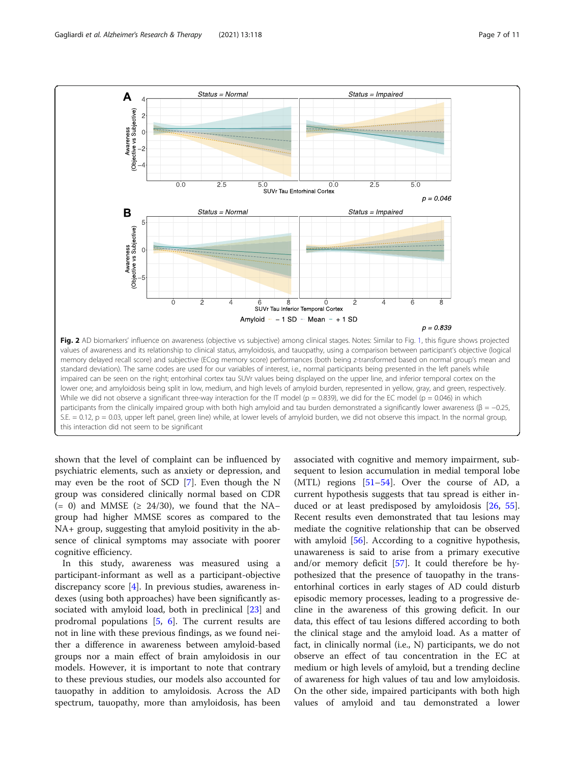<span id="page-6-0"></span>

shown that the level of complaint can be influenced by psychiatric elements, such as anxiety or depression, and may even be the root of SCD [\[7](#page-9-0)]. Even though the N group was considered clinically normal based on CDR (= 0) and MMSE ( $\geq$  24/30), we found that the NAgroup had higher MMSE scores as compared to the NA+ group, suggesting that amyloid positivity in the absence of clinical symptoms may associate with poorer cognitive efficiency.

In this study, awareness was measured using a participant-informant as well as a participant-objective discrepancy score [\[4](#page-9-0)]. In previous studies, awareness indexes (using both approaches) have been significantly associated with amyloid load, both in preclinical [[23](#page-9-0)] and prodromal populations [\[5](#page-9-0), [6\]](#page-9-0). The current results are not in line with these previous findings, as we found neither a difference in awareness between amyloid-based groups nor a main effect of brain amyloidosis in our models. However, it is important to note that contrary to these previous studies, our models also accounted for tauopathy in addition to amyloidosis. Across the AD spectrum, tauopathy, more than amyloidosis, has been

associated with cognitive and memory impairment, subsequent to lesion accumulation in medial temporal lobe (MTL) regions  $[51-54]$  $[51-54]$  $[51-54]$  $[51-54]$  $[51-54]$ . Over the course of AD, a current hypothesis suggests that tau spread is either induced or at least predisposed by amyloidosis [[26](#page-9-0), [55](#page-10-0)]. Recent results even demonstrated that tau lesions may mediate the cognitive relationship that can be observed with amyloid [\[56](#page-10-0)]. According to a cognitive hypothesis, unawareness is said to arise from a primary executive and/or memory deficit [\[57](#page-10-0)]. It could therefore be hypothesized that the presence of tauopathy in the transentorhinal cortices in early stages of AD could disturb episodic memory processes, leading to a progressive decline in the awareness of this growing deficit. In our data, this effect of tau lesions differed according to both the clinical stage and the amyloid load. As a matter of fact, in clinically normal (i.e., N) participants, we do not observe an effect of tau concentration in the EC at medium or high levels of amyloid, but a trending decline of awareness for high values of tau and low amyloidosis. On the other side, impaired participants with both high values of amyloid and tau demonstrated a lower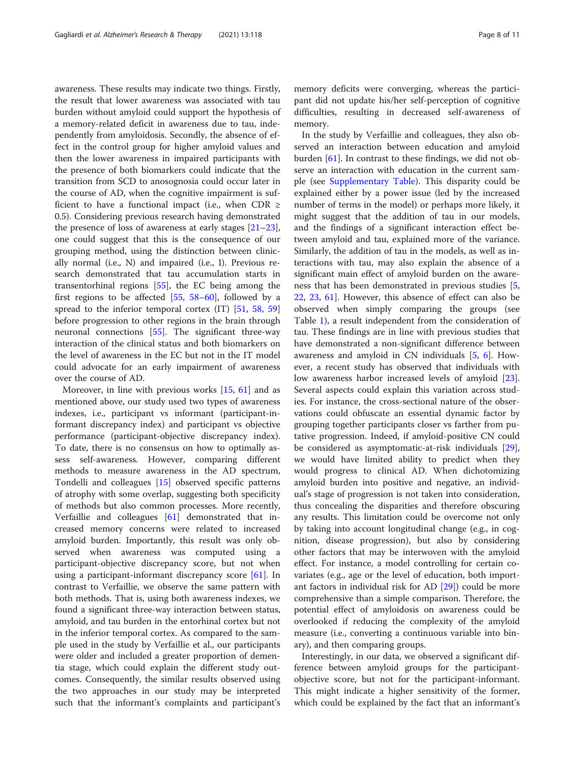awareness. These results may indicate two things. Firstly, the result that lower awareness was associated with tau burden without amyloid could support the hypothesis of a memory-related deficit in awareness due to tau, independently from amyloidosis. Secondly, the absence of effect in the control group for higher amyloid values and then the lower awareness in impaired participants with the presence of both biomarkers could indicate that the transition from SCD to anosognosia could occur later in the course of AD, when the cognitive impairment is sufficient to have a functional impact (i.e., when CDR  $\ge$ 0.5). Considering previous research having demonstrated the presence of loss of awareness at early stages  $[21-23]$  $[21-23]$  $[21-23]$  $[21-23]$  $[21-23]$ , one could suggest that this is the consequence of our grouping method, using the distinction between clinically normal (i.e., N) and impaired (i.e., I). Previous research demonstrated that tau accumulation starts in transentorhinal regions [\[55\]](#page-10-0), the EC being among the first regions to be affected [[55](#page-10-0), [58](#page-10-0)–[60\]](#page-10-0), followed by a spread to the inferior temporal cortex (IT) [\[51](#page-10-0), [58](#page-10-0), [59](#page-10-0)] before progression to other regions in the brain through neuronal connections [\[55\]](#page-10-0). The significant three-way interaction of the clinical status and both biomarkers on the level of awareness in the EC but not in the IT model could advocate for an early impairment of awareness over the course of AD.

Moreover, in line with previous works [\[15](#page-9-0), [61\]](#page-10-0) and as mentioned above, our study used two types of awareness indexes, i.e., participant vs informant (participant-informant discrepancy index) and participant vs objective performance (participant-objective discrepancy index). To date, there is no consensus on how to optimally assess self-awareness. However, comparing different methods to measure awareness in the AD spectrum, Tondelli and colleagues [\[15](#page-9-0)] observed specific patterns of atrophy with some overlap, suggesting both specificity of methods but also common processes. More recently, Verfaillie and colleagues [[61](#page-10-0)] demonstrated that increased memory concerns were related to increased amyloid burden. Importantly, this result was only observed when awareness was computed using a participant-objective discrepancy score, but not when using a participant-informant discrepancy score [[61\]](#page-10-0). In contrast to Verfaillie, we observe the same pattern with both methods. That is, using both awareness indexes, we found a significant three-way interaction between status, amyloid, and tau burden in the entorhinal cortex but not in the inferior temporal cortex. As compared to the sample used in the study by Verfaillie et al., our participants were older and included a greater proportion of dementia stage, which could explain the different study outcomes. Consequently, the similar results observed using the two approaches in our study may be interpreted such that the informant's complaints and participant's

memory deficits were converging, whereas the participant did not update his/her self-perception of cognitive difficulties, resulting in decreased self-awareness of memory.

In the study by Verfaillie and colleagues, they also observed an interaction between education and amyloid burden [[61\]](#page-10-0). In contrast to these findings, we did not observe an interaction with education in the current sample (see [Supplementary Table](#page-8-0)). This disparity could be explained either by a power issue (led by the increased number of terms in the model) or perhaps more likely, it might suggest that the addition of tau in our models, and the findings of a significant interaction effect between amyloid and tau, explained more of the variance. Similarly, the addition of tau in the models, as well as interactions with tau, may also explain the absence of a significant main effect of amyloid burden on the awareness that has been demonstrated in previous studies [\[5](#page-9-0), [22,](#page-9-0) [23](#page-9-0), [61](#page-10-0)]. However, this absence of effect can also be observed when simply comparing the groups (see Table [1\)](#page-2-0), a result independent from the consideration of tau. These findings are in line with previous studies that have demonstrated a non-significant difference between awareness and amyloid in CN individuals [\[5](#page-9-0), [6\]](#page-9-0). However, a recent study has observed that individuals with low awareness harbor increased levels of amyloid [\[23](#page-9-0)]. Several aspects could explain this variation across studies. For instance, the cross-sectional nature of the observations could obfuscate an essential dynamic factor by grouping together participants closer vs farther from putative progression. Indeed, if amyloid-positive CN could be considered as asymptomatic-at-risk individuals [\[29](#page-9-0)], we would have limited ability to predict when they would progress to clinical AD. When dichotomizing amyloid burden into positive and negative, an individual's stage of progression is not taken into consideration, thus concealing the disparities and therefore obscuring any results. This limitation could be overcome not only by taking into account longitudinal change (e.g., in cognition, disease progression), but also by considering other factors that may be interwoven with the amyloid effect. For instance, a model controlling for certain covariates (e.g., age or the level of education, both important factors in individual risk for AD [\[29](#page-9-0)]) could be more comprehensive than a simple comparison. Therefore, the potential effect of amyloidosis on awareness could be overlooked if reducing the complexity of the amyloid measure (i.e., converting a continuous variable into binary), and then comparing groups.

Interestingly, in our data, we observed a significant difference between amyloid groups for the participantobjective score, but not for the participant-informant. This might indicate a higher sensitivity of the former, which could be explained by the fact that an informant's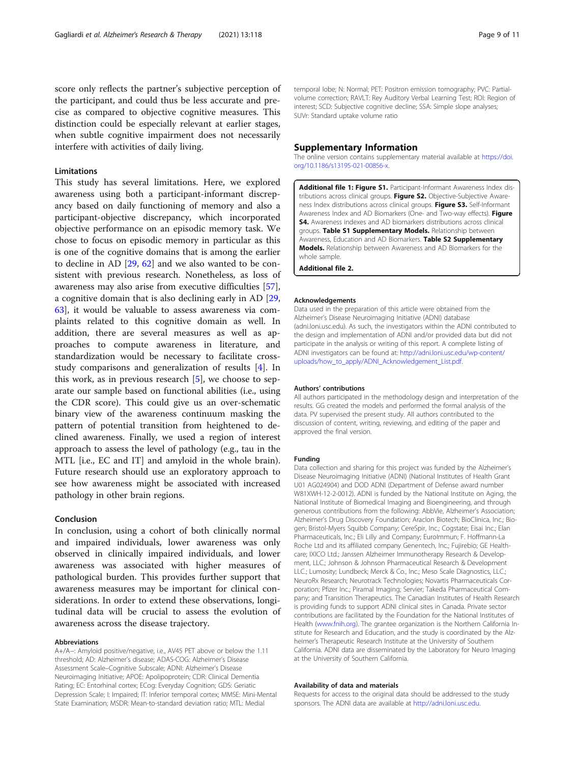<span id="page-8-0"></span>score only reflects the partner's subjective perception of the participant, and could thus be less accurate and precise as compared to objective cognitive measures. This distinction could be especially relevant at earlier stages, when subtle cognitive impairment does not necessarily interfere with activities of daily living.

# Limitations

This study has several limitations. Here, we explored awareness using both a participant-informant discrepancy based on daily functioning of memory and also a participant-objective discrepancy, which incorporated objective performance on an episodic memory task. We chose to focus on episodic memory in particular as this is one of the cognitive domains that is among the earlier to decline in AD [\[29,](#page-9-0) [62](#page-10-0)] and we also wanted to be consistent with previous research. Nonetheless, as loss of awareness may also arise from executive difficulties [\[57](#page-10-0)], a cognitive domain that is also declining early in AD [[29](#page-9-0), [63\]](#page-10-0), it would be valuable to assess awareness via complaints related to this cognitive domain as well. In addition, there are several measures as well as approaches to compute awareness in literature, and standardization would be necessary to facilitate crossstudy comparisons and generalization of results [\[4](#page-9-0)]. In this work, as in previous research [\[5](#page-9-0)], we choose to separate our sample based on functional abilities (i.e., using the CDR score). This could give us an over-schematic binary view of the awareness continuum masking the pattern of potential transition from heightened to declined awareness. Finally, we used a region of interest approach to assess the level of pathology (e.g., tau in the MTL [i.e., EC and IT] and amyloid in the whole brain). Future research should use an exploratory approach to see how awareness might be associated with increased pathology in other brain regions.

# Conclusion

In conclusion, using a cohort of both clinically normal and impaired individuals, lower awareness was only observed in clinically impaired individuals, and lower awareness was associated with higher measures of pathological burden. This provides further support that awareness measures may be important for clinical considerations. In order to extend these observations, longitudinal data will be crucial to assess the evolution of awareness across the disease trajectory.

#### Abbreviations

A+/A−: Amyloid positive/negative, i.e., AV45 PET above or below the 1.11 threshold; AD: Alzheimer's disease; ADAS-COG: Alzheimer's Disease Assessment Scale–Cognitive Subscale; ADNI: Alzheimer's Disease Neuroimaging Initiative; APOE: Apolipoprotein; CDR: Clinical Dementia Rating; EC: Entorhinal cortex; ECog: Everyday Cognition; GDS: Geriatic Depression Scale; I: Impaired; IT: Inferior temporal cortex; MMSE: Mini-Mental State Examination; MSDR: Mean-to-standard deviation ratio; MTL: Medial

temporal lobe; N: Normal; PET: Positron emission tomography; PVC: Partialvolume correction; RAVLT: Rey Auditory Verbal Learning Test; ROI: Region of interest; SCD: Subjective cognitive decline; SSA: Simple slope analyses; SUVr: Standard uptake volume ratio

### Supplementary Information

The online version contains supplementary material available at [https://doi.](https://doi.org/10.1186/s13195-021-00856-x) [org/10.1186/s13195-021-00856-x](https://doi.org/10.1186/s13195-021-00856-x).

Additional file 1: Figure S1. Participant-Informant Awareness Index distributions across clinical groups. Figure S2. Objective-Subjective Awareness Index distributions across clinical groups. Figure S3. Self-Informant Awareness Index and AD Biomarkers (One- and Two-way effects). Figure S4. Awareness indexes and AD biomarkers distributions across clinical groups. Table S1 Supplementary Models. Relationship between Awareness, Education and AD Biomarkers. Table S2 Supplementary Models. Relationship between Awareness and AD Biomarkers for the whole sample.

Additional file 2.

#### Acknowledgements

Data used in the preparation of this article were obtained from the Alzheimer's Disease Neuroimaging Initiative (ADNI) database (adni.loni.usc.edu). As such, the investigators within the ADNI contributed to the design and implementation of ADNI and/or provided data but did not participate in the analysis or writing of this report. A complete listing of ADNI investigators can be found at: [http://adni.loni.usc.edu/wp-content/](http://adni.loni.usc.edu/wp-content/uploads/how_to_apply/ADNI_Acknowledgement_List.pdf) [uploads/how\\_to\\_apply/ADNI\\_Acknowledgement\\_List.pdf](http://adni.loni.usc.edu/wp-content/uploads/how_to_apply/ADNI_Acknowledgement_List.pdf).

#### Authors' contributions

All authors participated in the methodology design and interpretation of the results. GG created the models and performed the formal analysis of the data. PV supervised the present study. All authors contributed to the discussion of content, writing, reviewing, and editing of the paper and approved the final version.

#### Funding

Data collection and sharing for this project was funded by the Alzheimer's Disease Neuroimaging Initiative (ADNI) (National Institutes of Health Grant U01 AG024904) and DOD ADNI (Department of Defense award number W81XWH-12-2-0012). ADNI is funded by the National Institute on Aging, the National Institute of Biomedical Imaging and Bioengineering, and through generous contributions from the following: AbbVie, Alzheimer's Association; Alzheimer's Drug Discovery Foundation; Araclon Biotech; BioClinica, Inc.; Biogen; Bristol-Myers Squibb Company; CereSpir, Inc.; Cogstate; Eisai Inc.; Elan Pharmaceuticals, Inc.; Eli Lilly and Company; EuroImmun; F. Hoffmann-La Roche Ltd and its affiliated company Genentech, Inc.; Fujirebio; GE Healthcare; IXICO Ltd.; Janssen Alzheimer Immunotherapy Research & Development, LLC.; Johnson & Johnson Pharmaceutical Research & Development LLC.; Lumosity; Lundbeck; Merck & Co., Inc.; Meso Scale Diagnostics, LLC.; NeuroRx Research; Neurotrack Technologies; Novartis Pharmaceuticals Corporation; Pfizer Inc.; Piramal Imaging; Servier; Takeda Pharmaceutical Company; and Transition Therapeutics. The Canadian Institutes of Health Research is providing funds to support ADNI clinical sites in Canada. Private sector contributions are facilitated by the Foundation for the National Institutes of Health [\(www.fnih.org\)](http://www.fnih.org). The grantee organization is the Northern California Institute for Research and Education, and the study is coordinated by the Alzheimer's Therapeutic Research Institute at the University of Southern California. ADNI data are disseminated by the Laboratory for Neuro Imaging at the University of Southern California.

#### Availability of data and materials

Requests for access to the original data should be addressed to the study sponsors. The ADNI data are available at [http://adni.loni.usc.edu.](http://adni.loni.usc.edu)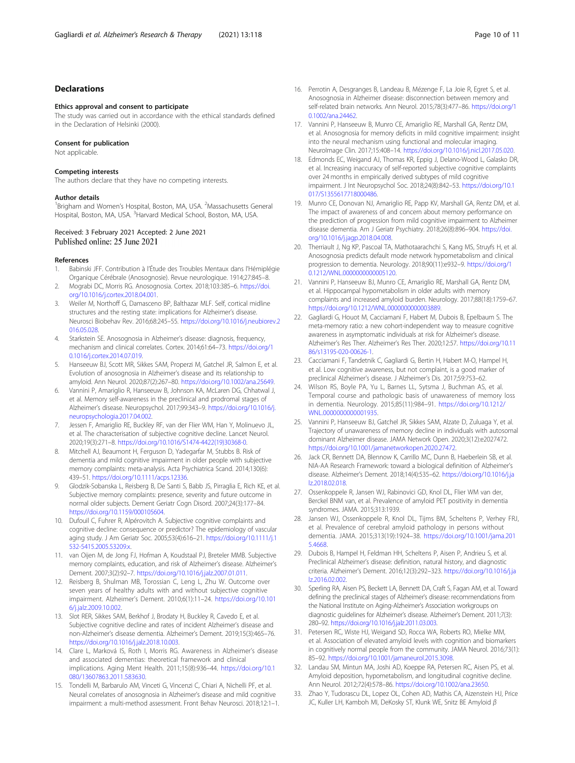# <span id="page-9-0"></span>Declarations

#### Ethics approval and consent to participate

The study was carried out in accordance with the ethical standards defined in the Declaration of Helsinki (2000).

#### Consent for publication

Not applicable.

# Competing interests

The authors declare that they have no competing interests.

#### Author details

<sup>1</sup> Brigham and Women's Hospital, Boston, MA, USA. <sup>2</sup> Massachusetts General Hospital, Boston, MA, USA. <sup>3</sup> Harvard Medical School, Boston, MA, USA.

# Received: 3 February 2021 Accepted: 2 June 2021 Published online: 25 June 2021

#### References

- 1. Babinski JFF. Contribution à l'Étude des Troubles Mentaux dans l'Hémiplégie Organique Cérébrale (Anosognosie). Revue neurologique. 1914;27:845–8.
- 2. Mograbi DC, Morris RG. Anosognosia. Cortex. 2018;103:385–6. [https://doi.](https://doi.org/10.1016/j.cortex.2018.04.001) [org/10.1016/j.cortex.2018.04.001](https://doi.org/10.1016/j.cortex.2018.04.001).
- 3. Weiler M, Northoff G, Damasceno BP, Balthazar MLF. Self, cortical midline structures and the resting state: implications for Alzheimer's disease. Neurosci Biobehav Rev. 2016;68:245–55. [https://doi.org/10.1016/j.neubiorev.2](https://doi.org/10.1016/j.neubiorev.2016.05.028) [016.05.028](https://doi.org/10.1016/j.neubiorev.2016.05.028).
- 4. Starkstein SE. Anosognosia in Alzheimer's disease: diagnosis, frequency, mechanism and clinical correlates. Cortex. 2014;61:64–73. [https://doi.org/1](https://doi.org/10.1016/j.cortex.2014.07.019) [0.1016/j.cortex.2014.07.019.](https://doi.org/10.1016/j.cortex.2014.07.019)
- Hanseeuw BJ, Scott MR, Sikkes SAM, Properzi M, Gatchel JR, Salmon E, et al. Evolution of anosognosia in Alzheimer's disease and its relationship to amyloid. Ann Neurol. 2020;87(2):267–80. <https://doi.org/10.1002/ana.25649>.
- 6. Vannini P, Amariglio R, Hanseeuw B, Johnson KA, McLaren DG, Chhatwal J, et al. Memory self-awareness in the preclinical and prodromal stages of Alzheimer's disease. Neuropsychol. 2017;99:343–9. [https://doi.org/10.1016/j.](https://doi.org/10.1016/j.neuropsychologia.2017.04.002) [neuropsychologia.2017.04.002.](https://doi.org/10.1016/j.neuropsychologia.2017.04.002)
- 7. Jessen F, Amariglio RE, Buckley RF, van der Flier WM, Han Y, Molinuevo JL, et al. The characterisation of subjective cognitive decline. Lancet Neurol. 2020;19(3):271–8. [https://doi.org/10.1016/S1474-4422\(19\)30368-0](https://doi.org/10.1016/S1474-4422(19)30368-0).
- 8. Mitchell AJ, Beaumont H, Ferguson D, Yadegarfar M, Stubbs B. Risk of dementia and mild cognitive impairment in older people with subjective memory complaints: meta-analysis. Acta Psychiatrica Scand. 2014;130(6): 439–51. [https://doi.org/10.1111/acps.12336.](https://doi.org/10.1111/acps.12336)
- 9. Glodzik-Sobanska L, Reisberg B, De Santi S, Babb JS, Pirraglia E, Rich KE, et al. Subjective memory complaints: presence, severity and future outcome in normal older subjects. Dement Geriatr Cogn Disord. 2007;24(3):177–84. [https://doi.org/10.1159/000105604.](https://doi.org/10.1159/000105604)
- 10. Dufouil C, Fuhrer R, Alpérovitch A. Subjective cognitive complaints and cognitive decline: consequence or predictor? The epidemiology of vascular aging study. J Am Geriatr Soc. 2005;53(4):616–21. [https://doi.org/10.1111/j.1](https://doi.org/10.1111/j.1532-5415.2005.53209.x) [532-5415.2005.53209.x.](https://doi.org/10.1111/j.1532-5415.2005.53209.x)
- 11. van Oijen M, de Jong FJ, Hofman A, Koudstaal PJ, Breteler MMB. Subjective memory complaints, education, and risk of Alzheimer's disease. Alzheimer's Dement. 2007;3(2):92–7. <https://doi.org/10.1016/j.jalz.2007.01.011>.
- 12. Reisberg B, Shulman MB, Torossian C, Leng L, Zhu W. Outcome over seven years of healthy adults with and without subjective cognitive impairment. Alzheimer's Dement. 2010;6(1):11–24. [https://doi.org/10.101](https://doi.org/10.1016/j.jalz.2009.10.002) [6/j.jalz.2009.10.002](https://doi.org/10.1016/j.jalz.2009.10.002).
- 13. Slot RER, Sikkes SAM, Berkhof J, Brodaty H, Buckley R, Cavedo E, et al. Subjective cognitive decline and rates of incident Alzheimer's disease and non-Alzheimer's disease dementia. Alzheimer's Dement. 2019;15(3):465–76. [https://doi.org/10.1016/j.jalz.2018.10.003.](https://doi.org/10.1016/j.jalz.2018.10.003)
- 14. Clare L, Marková IS, Roth I, Morris RG. Awareness in Alzheimer's disease and associated dementias: theoretical framework and clinical implications. Aging Ment Health. 2011;15(8):936–44. [https://doi.org/10.1](https://doi.org/10.1080/13607863.2011.583630) [080/13607863.2011.583630](https://doi.org/10.1080/13607863.2011.583630).
- 15. Tondelli M, Barbarulo AM, Vinceti G, Vincenzi C, Chiari A, Nichelli PF, et al. Neural correlates of anosognosia in Alzheimer's disease and mild cognitive impairment: a multi-method assessment. Front Behav Neurosci. 2018;12:1–1.
- 16. Perrotin A, Desgranges B, Landeau B, Mézenge F, La Joie R, Egret S, et al. Anosognosia in Alzheimer disease: disconnection between memory and self-related brain networks. Ann Neurol. 2015;78(3):477–86. [https://doi.org/1](https://doi.org/10.1002/ana.24462) [0.1002/ana.24462.](https://doi.org/10.1002/ana.24462)
- 17. Vannini P, Hanseeuw B, Munro CE, Amariglio RE, Marshall GA, Rentz DM, et al. Anosognosia for memory deficits in mild cognitive impairment: insight into the neural mechanism using functional and molecular imaging. NeuroImage Clin. 2017;15:408–14. <https://doi.org/10.1016/j.nicl.2017.05.020>.
- 18. Edmonds EC, Weigand AJ, Thomas KR, Eppig J, Delano-Wood L, Galasko DR, et al. Increasing inaccuracy of self-reported subjective cognitive complaints over 24 months in empirically derived subtypes of mild cognitive impairment. J Int Neuropsychol Soc. 2018;24(8):842–53. [https://doi.org/10.1](https://doi.org/10.1017/S1355617718000486) [017/S1355617718000486](https://doi.org/10.1017/S1355617718000486).
- 19. Munro CE, Donovan NJ, Amariglio RE, Papp KV, Marshall GA, Rentz DM, et al. The impact of awareness of and concern about memory performance on the prediction of progression from mild cognitive impairment to Alzheimer disease dementia. Am J Geriatr Psychiatry. 2018;26(8):896–904. [https://doi.](https://doi.org/10.1016/j.jagp.2018.04.008) [org/10.1016/j.jagp.2018.04.008](https://doi.org/10.1016/j.jagp.2018.04.008).
- 20. Therriault J, Ng KP, Pascoal TA, Mathotaarachchi S, Kang MS, Struyfs H, et al. Anosognosia predicts default mode network hypometabolism and clinical progression to dementia. Neurology. 2018;90(11):e932–9. [https://doi.org/1](https://doi.org/10.1212/WNL.0000000000005120) [0.1212/WNL.0000000000005120.](https://doi.org/10.1212/WNL.0000000000005120)
- 21. Vannini P, Hanseeuw BJ, Munro CE, Amariglio RE, Marshall GA, Rentz DM, et al. Hippocampal hypometabolism in older adults with memory complaints and increased amyloid burden. Neurology. 2017;88(18):1759–67. <https://doi.org/10.1212/WNL.0000000000003889>.
- 22. Gagliardi G, Houot M, Cacciamani F, Habert M, Dubois B, Epelbaum S. The meta-memory ratio: a new cohort-independent way to measure cognitive awareness in asymptomatic individuals at risk for Alzheimer's disease. Alzheimer's Res Ther. Alzheimer's Res Ther. 2020;12:57. [https://doi.org/10.11](https://doi.org/10.1186/s13195-020-00626-1) [86/s13195-020-00626-1.](https://doi.org/10.1186/s13195-020-00626-1)
- 23. Cacciamani F, Tandetnik C, Gagliardi G, Bertin H, Habert M-O, Hampel H, et al. Low cognitive awareness, but not complaint, is a good marker of preclinical Alzheimer's disease. J Alzheimer's Dis. 2017;59:753–62.
- 24. Wilson RS, Boyle PA, Yu L, Barnes LL, Sytsma J, Buchman AS, et al. Temporal course and pathologic basis of unawareness of memory loss in dementia. Neurology. 2015;85(11):984–91. [https://doi.org/10.1212/](https://doi.org/10.1212/WNL.0000000000001935) [WNL.0000000000001935.](https://doi.org/10.1212/WNL.0000000000001935)
- 25. Vannini P, Hanseeuw BJ, Gatchel JR, Sikkes SAM, Alzate D, Zuluaga Y, et al. Trajectory of unawareness of memory decline in individuals with autosomal dominant Alzheimer disease. JAMA Network Open. 2020;3(12):e2027472. [https://doi.org/10.1001/jamanetworkopen.2020.27472.](https://doi.org/10.1001/jamanetworkopen.2020.27472)
- 26. Jack CR, Bennett DA, Blennow K, Carrillo MC, Dunn B, Haeberlein SB, et al. NIA-AA Research Framework: toward a biological definition of Alzheimer's disease. Alzheimer's Dement. 2018;14(4):535–62. [https://doi.org/10.1016/j.ja](https://doi.org/10.1016/j.jalz.2018.02.018) [lz.2018.02.018](https://doi.org/10.1016/j.jalz.2018.02.018).
- 27. Ossenkoppele R, Jansen WJ, Rabinovici GD, Knol DL, Flier WM van der, Berckel BNM van, et al. Prevalence of amyloid PET positivity in dementia syndromes. JAMA. 2015;313:1939.
- 28. Jansen WJ, Ossenkoppele R, Knol DL, Tijms BM, Scheltens P, Verhey FRJ, et al. Prevalence of cerebral amyloid pathology in persons without dementia. JAMA. 2015;313(19):1924–38. [https://doi.org/10.1001/jama.201](https://doi.org/10.1001/jama.2015.4668) [5.4668.](https://doi.org/10.1001/jama.2015.4668)
- 29. Dubois B, Hampel H, Feldman HH, Scheltens P, Aisen P, Andrieu S, et al. Preclinical Alzheimer's disease: definition, natural history, and diagnostic criteria. Alzheimer's Dement. 2016;12(3):292–323. [https://doi.org/10.1016/j.ja](https://doi.org/10.1016/j.jalz.2016.02.002) [lz.2016.02.002](https://doi.org/10.1016/j.jalz.2016.02.002).
- 30. Sperling RA, Aisen PS, Beckett LA, Bennett DA, Craft S, Fagan AM, et al. Toward defining the preclinical stages of Alzheimer's disease: recommendations from the National Institute on Aging-Alzheimer's Association workgroups on diagnostic guidelines for Alzheimer's disease. Alzheimer's Dement. 2011;7(3): 280–92. <https://doi.org/10.1016/j.jalz.2011.03.003>.
- 31. Petersen RC, Wiste HJ, Weigand SD, Rocca WA, Roberts RO, Mielke MM, et al. Association of elevated amyloid levels with cognition and biomarkers in cognitively normal people from the community. JAMA Neurol. 2016;73(1): 85–92. <https://doi.org/10.1001/jamaneurol.2015.3098>.
- 32. Landau SM, Mintun MA, Joshi AD, Koeppe RA, Petersen RC, Aisen PS, et al. Amyloid deposition, hypometabolism, and longitudinal cognitive decline. Ann Neurol. 2012;72(4):578–86. <https://doi.org/10.1002/ana.23650>.
- 33. Zhao Y, Tudorascu DL, Lopez OL, Cohen AD, Mathis CA, Aizenstein HJ, Price JC, Kuller LH, Kamboh MI, DeKosky ST, Klunk WE, Snitz BE Amyloid β